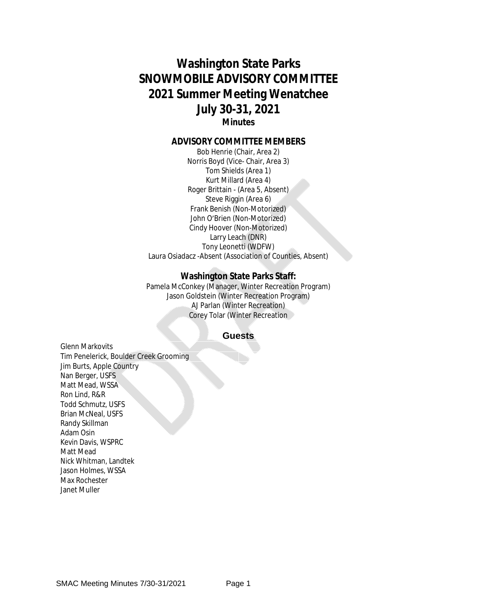## **Washington State Parks SNOWMOBILE ADVISORY COMMITTEE 2021 Summer Meeting Wenatchee July 30-31, 2021 Minutes**

### **ADVISORY COMMITTEE MEMBERS**

Bob Henrie (Chair, Area 2) Norris Boyd (Vice- Chair, Area 3) Tom Shields (Area 1) Kurt Millard (Area 4) Roger Brittain - (Area 5, Absent) Steve Riggin (Area 6) Frank Benish (Non-Motorized) John O'Brien (Non-Motorized) Cindy Hoover (Non-Motorized) Larry Leach (DNR) Tony Leonetti (WDFW) Laura Osiadacz -Absent (Association of Counties, Absent)

## **Washington State Parks Staff:**

Pamela McConkey (Manager, Winter Recreation Program) Jason Goldstein (Winter Recreation Program) AJ Parlan (Winter Recreation) Corey Tolar (Winter Recreation

#### **Guests**

Glenn Markovits Tim Penelerick, Boulder Creek Grooming Jim Burts, Apple Country Nan Berger, USFS Matt Mead, WSSA Ron Lind, R&R Todd Schmutz, USFS Brian McNeal, USFS Randy Skillman Adam Osin Kevin Davis, WSPRC Matt Mead Nick Whitman, Landtek Jason Holmes, WSSA Max Rochester Janet Muller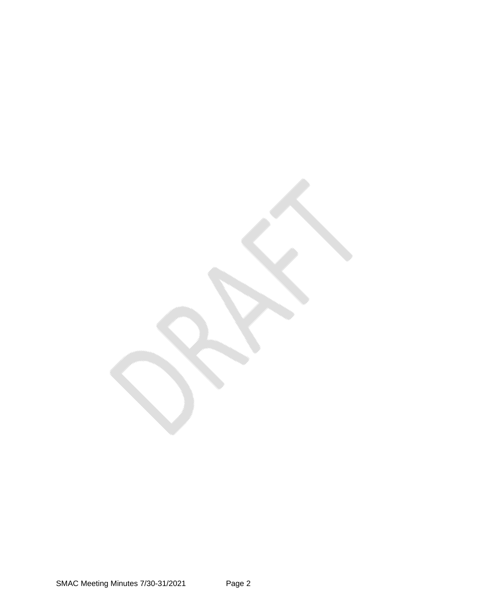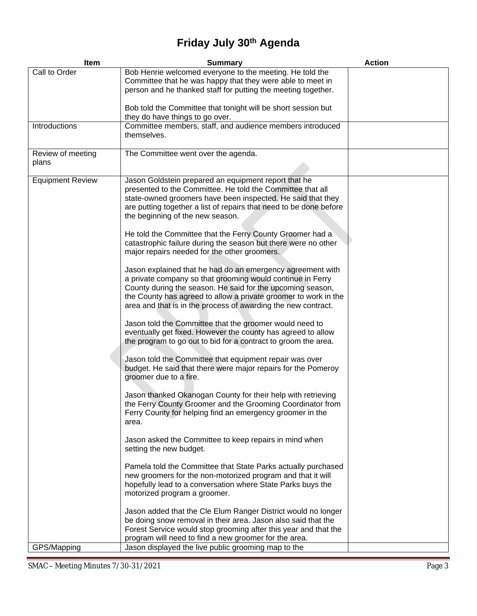# **Friday July 30th Agenda**

| Item                       | <b>Summary</b>                                                                                                                                                                                                                                                                                                                                                                                                                                                                                                                                                                                                                                                                                                                                                                                                                                                                                                                                                                                                                                                                                                                                                                                                                                                                                                                                                                                                                                       | <b>Action</b> |
|----------------------------|------------------------------------------------------------------------------------------------------------------------------------------------------------------------------------------------------------------------------------------------------------------------------------------------------------------------------------------------------------------------------------------------------------------------------------------------------------------------------------------------------------------------------------------------------------------------------------------------------------------------------------------------------------------------------------------------------------------------------------------------------------------------------------------------------------------------------------------------------------------------------------------------------------------------------------------------------------------------------------------------------------------------------------------------------------------------------------------------------------------------------------------------------------------------------------------------------------------------------------------------------------------------------------------------------------------------------------------------------------------------------------------------------------------------------------------------------|---------------|
| Call to Order              | Bob Henrie welcomed everyone to the meeting. He told the<br>Committee that he was happy that they were able to meet in<br>person and he thanked staff for putting the meeting together.                                                                                                                                                                                                                                                                                                                                                                                                                                                                                                                                                                                                                                                                                                                                                                                                                                                                                                                                                                                                                                                                                                                                                                                                                                                              |               |
|                            | Bob told the Committee that tonight will be short session but<br>they do have things to go over.                                                                                                                                                                                                                                                                                                                                                                                                                                                                                                                                                                                                                                                                                                                                                                                                                                                                                                                                                                                                                                                                                                                                                                                                                                                                                                                                                     |               |
| Introductions              | Committee members, staff, and audience members introduced<br>themselves.                                                                                                                                                                                                                                                                                                                                                                                                                                                                                                                                                                                                                                                                                                                                                                                                                                                                                                                                                                                                                                                                                                                                                                                                                                                                                                                                                                             |               |
| Review of meeting<br>plans | The Committee went over the agenda.                                                                                                                                                                                                                                                                                                                                                                                                                                                                                                                                                                                                                                                                                                                                                                                                                                                                                                                                                                                                                                                                                                                                                                                                                                                                                                                                                                                                                  |               |
| <b>Equipment Review</b>    | Jason Goldstein prepared an equipment report that he<br>presented to the Committee. He told the Committee that all<br>state-owned groomers have been inspected. He said that they<br>are putting together a list of repairs that need to be done before<br>the beginning of the new season.<br>He told the Committee that the Ferry County Groomer had a<br>catastrophic failure during the season but there were no other<br>major repairs needed for the other groomers.<br>Jason explained that he had do an emergency agreement with<br>a private company so that grooming would continue in Ferry<br>County during the season. He said for the upcoming season,<br>the County has agreed to allow a private groomer to work in the<br>area and that is in the process of awarding the new contract.<br>Jason told the Committee that the groomer would need to<br>eventually get fixed. However the county has agreed to allow<br>the program to go out to bid for a contract to groom the area.<br>Jason told the Committee that equipment repair was over<br>budget. He said that there were major repairs for the Pomeroy<br>groomer due to a fire.<br>Jason thanked Okanogan County for their help with retrieving<br>the Ferry County Groomer and the Grooming Coordinator from<br>Ferry County for helping find an emergency groomer in the<br>area.<br>Jason asked the Committee to keep repairs in mind when<br>setting the new budget. |               |
|                            | Pamela told the Committee that State Parks actually purchased<br>new groomers for the non-motorized program and that it will<br>hopefully lead to a conversation where State Parks buys the<br>motorized program a groomer.                                                                                                                                                                                                                                                                                                                                                                                                                                                                                                                                                                                                                                                                                                                                                                                                                                                                                                                                                                                                                                                                                                                                                                                                                          |               |
| GPS/Mapping                | Jason added that the Cle Elum Ranger District would no longer<br>be doing snow removal in their area. Jason also said that the<br>Forest Service would stop grooming after this year and that the<br>program will need to find a new groomer for the area.<br>Jason displayed the live public grooming map to the                                                                                                                                                                                                                                                                                                                                                                                                                                                                                                                                                                                                                                                                                                                                                                                                                                                                                                                                                                                                                                                                                                                                    |               |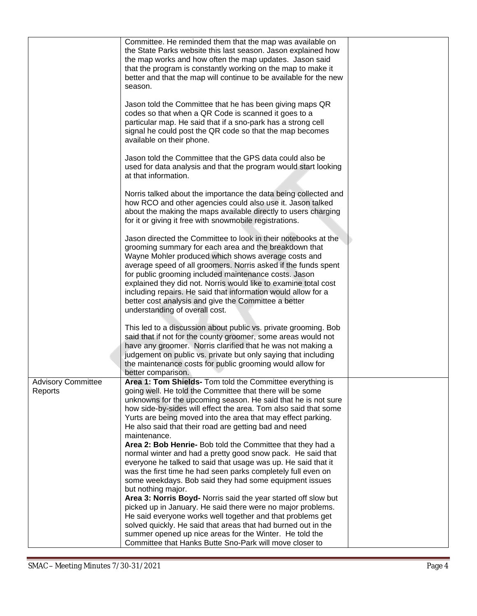|                                      | Committee. He reminded them that the map was available on<br>the State Parks website this last season. Jason explained how<br>the map works and how often the map updates. Jason said<br>that the program is constantly working on the map to make it<br>better and that the map will continue to be available for the new<br>season.                                                                                                                                                                                                                                                                                                                                                                                                                                                                                                                                                                                                                                                                                                                                        |  |
|--------------------------------------|------------------------------------------------------------------------------------------------------------------------------------------------------------------------------------------------------------------------------------------------------------------------------------------------------------------------------------------------------------------------------------------------------------------------------------------------------------------------------------------------------------------------------------------------------------------------------------------------------------------------------------------------------------------------------------------------------------------------------------------------------------------------------------------------------------------------------------------------------------------------------------------------------------------------------------------------------------------------------------------------------------------------------------------------------------------------------|--|
|                                      | Jason told the Committee that he has been giving maps QR<br>codes so that when a QR Code is scanned it goes to a<br>particular map. He said that if a sno-park has a strong cell<br>signal he could post the QR code so that the map becomes<br>available on their phone.                                                                                                                                                                                                                                                                                                                                                                                                                                                                                                                                                                                                                                                                                                                                                                                                    |  |
|                                      | Jason told the Committee that the GPS data could also be<br>used for data analysis and that the program would start looking<br>at that information.                                                                                                                                                                                                                                                                                                                                                                                                                                                                                                                                                                                                                                                                                                                                                                                                                                                                                                                          |  |
|                                      | Norris talked about the importance the data being collected and<br>how RCO and other agencies could also use it. Jason talked<br>about the making the maps available directly to users charging<br>for it or giving it free with snowmobile registrations.                                                                                                                                                                                                                                                                                                                                                                                                                                                                                                                                                                                                                                                                                                                                                                                                                   |  |
|                                      | Jason directed the Committee to look in their notebooks at the<br>grooming summary for each area and the breakdown that<br>Wayne Mohler produced which shows average costs and<br>average speed of all groomers. Norris asked if the funds spent<br>for public grooming included maintenance costs. Jason<br>explained they did not. Norris would like to examine total cost<br>including repairs. He said that information would allow for a<br>better cost analysis and give the Committee a better<br>understanding of overall cost.                                                                                                                                                                                                                                                                                                                                                                                                                                                                                                                                      |  |
|                                      | This led to a discussion about public vs. private grooming. Bob<br>said that if not for the county groomer, some areas would not<br>have any groomer. Norris clarified that he was not making a<br>judgement on public vs. private but only saying that including<br>the maintenance costs for public grooming would allow for<br>better comparison.                                                                                                                                                                                                                                                                                                                                                                                                                                                                                                                                                                                                                                                                                                                         |  |
| <b>Advisory Committee</b><br>Reports | Area 1: Tom Shields- Tom told the Committee everything is<br>going well. He told the Committee that there will be some<br>unknowns for the upcoming season. He said that he is not sure<br>how side-by-sides will effect the area. Tom also said that some<br>Yurts are being moved into the area that may effect parking.<br>He also said that their road are getting bad and need<br>maintenance.<br>Area 2: Bob Henrie- Bob told the Committee that they had a<br>normal winter and had a pretty good snow pack. He said that<br>everyone he talked to said that usage was up. He said that it<br>was the first time he had seen parks completely full even on<br>some weekdays. Bob said they had some equipment issues<br>but nothing major.<br>Area 3: Norris Boyd- Norris said the year started off slow but<br>picked up in January. He said there were no major problems.<br>He said everyone works well together and that problems get<br>solved quickly. He said that areas that had burned out in the<br>summer opened up nice areas for the Winter. He told the |  |
|                                      | Committee that Hanks Butte Sno-Park will move closer to                                                                                                                                                                                                                                                                                                                                                                                                                                                                                                                                                                                                                                                                                                                                                                                                                                                                                                                                                                                                                      |  |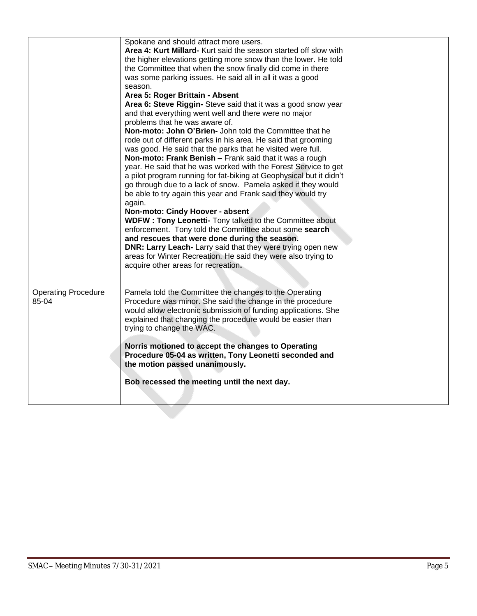|                                     | Spokane and should attract more users.<br>Area 4: Kurt Millard- Kurt said the season started off slow with<br>the higher elevations getting more snow than the lower. He told<br>the Committee that when the snow finally did come in there<br>was some parking issues. He said all in all it was a good<br>season.<br>Area 5: Roger Brittain - Absent<br>Area 6: Steve Riggin- Steve said that it was a good snow year<br>and that everything went well and there were no major<br>problems that he was aware of.<br>Non-moto: John O'Brien- John told the Committee that he<br>rode out of different parks in his area. He said that grooming<br>was good. He said that the parks that he visited were full.<br>Non-moto: Frank Benish - Frank said that it was a rough<br>year. He said that he was worked with the Forest Service to get<br>a pilot program running for fat-biking at Geophysical but it didn't<br>go through due to a lack of snow. Pamela asked if they would<br>be able to try again this year and Frank said they would try<br>again.<br>Non-moto: Cindy Hoover - absent<br><b>WDFW: Tony Leonetti- Tony talked to the Committee about</b><br>enforcement. Tony told the Committee about some search<br>and rescues that were done during the season.<br>DNR: Larry Leach- Larry said that they were trying open new<br>areas for Winter Recreation. He said they were also trying to<br>acquire other areas for recreation. |  |
|-------------------------------------|------------------------------------------------------------------------------------------------------------------------------------------------------------------------------------------------------------------------------------------------------------------------------------------------------------------------------------------------------------------------------------------------------------------------------------------------------------------------------------------------------------------------------------------------------------------------------------------------------------------------------------------------------------------------------------------------------------------------------------------------------------------------------------------------------------------------------------------------------------------------------------------------------------------------------------------------------------------------------------------------------------------------------------------------------------------------------------------------------------------------------------------------------------------------------------------------------------------------------------------------------------------------------------------------------------------------------------------------------------------------------------------------------------------------------------------------------|--|
| <b>Operating Procedure</b><br>85-04 | Pamela told the Committee the changes to the Operating<br>Procedure was minor. She said the change in the procedure<br>would allow electronic submission of funding applications. She<br>explained that changing the procedure would be easier than<br>trying to change the WAC.<br>Norris motioned to accept the changes to Operating<br>Procedure 05-04 as written, Tony Leonetti seconded and<br>the motion passed unanimously.<br>Bob recessed the meeting until the next day.                                                                                                                                                                                                                                                                                                                                                                                                                                                                                                                                                                                                                                                                                                                                                                                                                                                                                                                                                                   |  |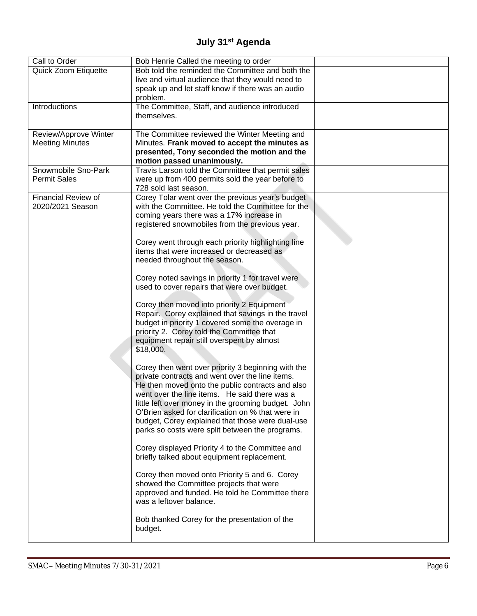# **July 31st Agenda**

| Call to Order              | Bob Henrie Called the meeting to order              |  |
|----------------------------|-----------------------------------------------------|--|
| Quick Zoom Etiquette       | Bob told the reminded the Committee and both the    |  |
|                            | live and virtual audience that they would need to   |  |
|                            | speak up and let staff know if there was an audio   |  |
|                            | problem.                                            |  |
| Introductions              | The Committee, Staff, and audience introduced       |  |
|                            | themselves.                                         |  |
|                            |                                                     |  |
| Review/Approve Winter      | The Committee reviewed the Winter Meeting and       |  |
| <b>Meeting Minutes</b>     | Minutes. Frank moved to accept the minutes as       |  |
|                            | presented, Tony seconded the motion and the         |  |
|                            | motion passed unanimously.                          |  |
| Snowmobile Sno-Park        | Travis Larson told the Committee that permit sales  |  |
| <b>Permit Sales</b>        | were up from 400 permits sold the year before to    |  |
|                            | 728 sold last season.                               |  |
|                            |                                                     |  |
| <b>Financial Review of</b> | Corey Tolar went over the previous year's budget    |  |
| 2020/2021 Season           | with the Committee. He told the Committee for the   |  |
|                            | coming years there was a 17% increase in            |  |
|                            | registered snowmobiles from the previous year.      |  |
|                            |                                                     |  |
|                            | Corey went through each priority highlighting line  |  |
|                            | items that were increased or decreased as           |  |
|                            | needed throughout the season.                       |  |
|                            |                                                     |  |
|                            | Corey noted savings in priority 1 for travel were   |  |
|                            | used to cover repairs that were over budget.        |  |
|                            |                                                     |  |
|                            | Corey then moved into priority 2 Equipment          |  |
|                            | Repair. Corey explained that savings in the travel  |  |
|                            | budget in priority 1 covered some the overage in    |  |
|                            | priority 2. Corey told the Committee that           |  |
|                            | equipment repair still overspent by almost          |  |
|                            | \$18,000.                                           |  |
|                            |                                                     |  |
|                            | Corey then went over priority 3 beginning with the  |  |
|                            | private contracts and went over the line items.     |  |
|                            | He then moved onto the public contracts and also    |  |
|                            | went over the line items. He said there was a       |  |
|                            | little left over money in the grooming budget. John |  |
|                            | O'Brien asked for clarification on % that were in   |  |
|                            | budget, Corey explained that those were dual-use    |  |
|                            | parks so costs were split between the programs.     |  |
|                            |                                                     |  |
|                            | Corey displayed Priority 4 to the Committee and     |  |
|                            | briefly talked about equipment replacement.         |  |
|                            |                                                     |  |
|                            | Corey then moved onto Priority 5 and 6. Corey       |  |
|                            | showed the Committee projects that were             |  |
|                            | approved and funded. He told he Committee there     |  |
|                            |                                                     |  |
|                            | was a leftover balance.                             |  |
|                            |                                                     |  |
|                            | Bob thanked Corey for the presentation of the       |  |
|                            | budget.                                             |  |
|                            |                                                     |  |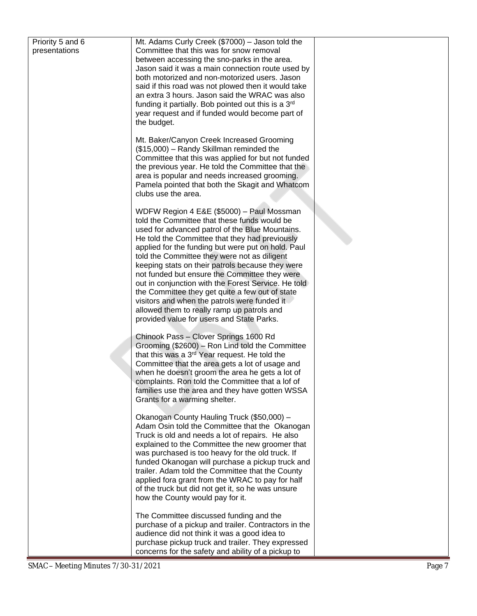| Priority 5 and 6 | Mt. Adams Curly Creek (\$7000) - Jason told the                                                      |  |
|------------------|------------------------------------------------------------------------------------------------------|--|
| presentations    | Committee that this was for snow removal                                                             |  |
|                  | between accessing the sno-parks in the area.                                                         |  |
|                  | Jason said it was a main connection route used by                                                    |  |
|                  | both motorized and non-motorized users. Jason                                                        |  |
|                  | said if this road was not plowed then it would take                                                  |  |
|                  | an extra 3 hours. Jason said the WRAC was also                                                       |  |
|                  | funding it partially. Bob pointed out this is a 3rd                                                  |  |
|                  | year request and if funded would become part of                                                      |  |
|                  | the budget.                                                                                          |  |
|                  |                                                                                                      |  |
|                  | Mt. Baker/Canyon Creek Increased Grooming<br>(\$15,000) - Randy Skillman reminded the                |  |
|                  | Committee that this was applied for but not funded                                                   |  |
|                  | the previous year. He told the Committee that the                                                    |  |
|                  | area is popular and needs increased grooming.                                                        |  |
|                  | Pamela pointed that both the Skagit and Whatcom                                                      |  |
|                  | clubs use the area.                                                                                  |  |
|                  |                                                                                                      |  |
|                  | WDFW Region 4 E&E (\$5000) - Paul Mossman                                                            |  |
|                  | told the Committee that these funds would be<br>used for advanced patrol of the Blue Mountains.      |  |
|                  | He told the Committee that they had previously                                                       |  |
|                  | applied for the funding but were put on hold. Paul                                                   |  |
|                  | told the Committee they were not as diligent                                                         |  |
|                  | keeping stats on their patrols because they were                                                     |  |
|                  | not funded but ensure the Committee they were                                                        |  |
|                  | out in conjunction with the Forest Service. He told                                                  |  |
|                  | the Committee they get quite a few out of state                                                      |  |
|                  | visitors and when the patrols were funded it                                                         |  |
|                  | allowed them to really ramp up patrols and<br>provided value for users and State Parks.              |  |
|                  |                                                                                                      |  |
|                  | Chinook Pass - Clover Springs 1600 Rd                                                                |  |
|                  | Grooming (\$2600) - Ron Lind told the Committee                                                      |  |
|                  | that this was a 3 <sup>rd</sup> Year request. He told the                                            |  |
|                  | Committee that the area gets a lot of usage and                                                      |  |
|                  | when he doesn't groom the area he gets a lot of                                                      |  |
|                  | complaints. Ron told the Committee that a lof of<br>families use the area and they have gotten WSSA  |  |
|                  | Grants for a warming shelter.                                                                        |  |
|                  |                                                                                                      |  |
|                  | Okanogan County Hauling Truck (\$50,000) -                                                           |  |
|                  | Adam Osin told the Committee that the Okanogan                                                       |  |
|                  | Truck is old and needs a lot of repairs. He also                                                     |  |
|                  | explained to the Committee the new groomer that                                                      |  |
|                  | was purchased is too heavy for the old truck. If<br>funded Okanogan will purchase a pickup truck and |  |
|                  | trailer. Adam told the Committee that the County                                                     |  |
|                  | applied fora grant from the WRAC to pay for half                                                     |  |
|                  | of the truck but did not get it, so he was unsure                                                    |  |
|                  | how the County would pay for it.                                                                     |  |
|                  |                                                                                                      |  |
|                  | The Committee discussed funding and the                                                              |  |
|                  | purchase of a pickup and trailer. Contractors in the<br>audience did not think it was a good idea to |  |
|                  | purchase pickup truck and trailer. They expressed                                                    |  |
|                  | concerns for the safety and ability of a pickup to                                                   |  |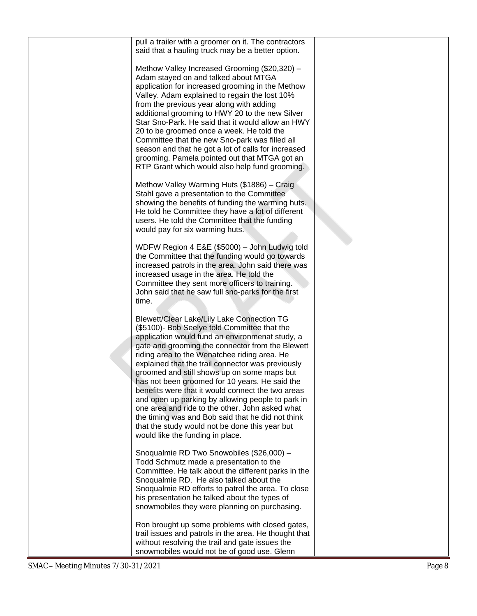| pull a trailer with a groomer on it. The contractors<br>said that a hauling truck may be a better option.                                                                                                                                                                                                                                                                                                                                                                                                                                                                                                                                                                                                       |  |
|-----------------------------------------------------------------------------------------------------------------------------------------------------------------------------------------------------------------------------------------------------------------------------------------------------------------------------------------------------------------------------------------------------------------------------------------------------------------------------------------------------------------------------------------------------------------------------------------------------------------------------------------------------------------------------------------------------------------|--|
| Methow Valley Increased Grooming (\$20,320) -<br>Adam stayed on and talked about MTGA<br>application for increased grooming in the Methow<br>Valley. Adam explained to regain the lost 10%<br>from the previous year along with adding<br>additional grooming to HWY 20 to the new Silver<br>Star Sno-Park. He said that it would allow an HWY<br>20 to be groomed once a week. He told the<br>Committee that the new Sno-park was filled all<br>season and that he got a lot of calls for increased<br>grooming. Pamela pointed out that MTGA got an<br>RTP Grant which would also help fund grooming.                                                                                                         |  |
| Methow Valley Warming Huts (\$1886) - Craig<br>Stahl gave a presentation to the Committee<br>showing the benefits of funding the warming huts.<br>He told he Committee they have a lot of different<br>users. He told the Committee that the funding<br>would pay for six warming huts.                                                                                                                                                                                                                                                                                                                                                                                                                         |  |
| WDFW Region 4 E&E (\$5000) - John Ludwig told<br>the Committee that the funding would go towards<br>increased patrols in the area. John said there was<br>increased usage in the area. He told the<br>Committee they sent more officers to training.<br>John said that he saw full sno-parks for the first<br>time.                                                                                                                                                                                                                                                                                                                                                                                             |  |
| Blewett/Clear Lake/Lily Lake Connection TG<br>(\$5100)- Bob Seelye told Committee that the<br>application would fund an environmenat study, a<br>gate and grooming the connector from the Blewett<br>riding area to the Wenatchee riding area. He<br>explained that the trail connector was previously<br>groomed and still shows up on some maps but<br>has not been groomed for 10 years. He said the<br>benefits were that it would connect the two areas<br>and open up parking by allowing people to park in<br>one area and ride to the other. John asked what<br>the timing was and Bob said that he did not think<br>that the study would not be done this year but<br>would like the funding in place. |  |
| Snoqualmie RD Two Snowobiles (\$26,000) -<br>Todd Schmutz made a presentation to the<br>Committee. He talk about the different parks in the<br>Snoqualmie RD. He also talked about the<br>Snoqualmie RD efforts to patrol the area. To close<br>his presentation he talked about the types of<br>snowmobiles they were planning on purchasing.                                                                                                                                                                                                                                                                                                                                                                  |  |
| Ron brought up some problems with closed gates,<br>trail issues and patrols in the area. He thought that<br>without resolving the trail and gate issues the<br>snowmobiles would not be of good use. Glenn                                                                                                                                                                                                                                                                                                                                                                                                                                                                                                      |  |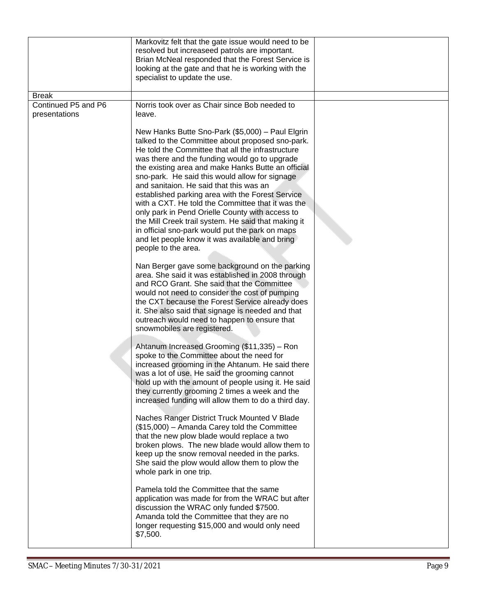|                                      | Markovitz felt that the gate issue would need to be<br>resolved but increaseed patrols are important.<br>Brian McNeal responded that the Forest Service is<br>looking at the gate and that he is working with the<br>specialist to update the use.                                                                                                                                                                                                                                                                                                                                                                                                                                                           |  |
|--------------------------------------|--------------------------------------------------------------------------------------------------------------------------------------------------------------------------------------------------------------------------------------------------------------------------------------------------------------------------------------------------------------------------------------------------------------------------------------------------------------------------------------------------------------------------------------------------------------------------------------------------------------------------------------------------------------------------------------------------------------|--|
| <b>Break</b>                         |                                                                                                                                                                                                                                                                                                                                                                                                                                                                                                                                                                                                                                                                                                              |  |
| Continued P5 and P6<br>presentations | Norris took over as Chair since Bob needed to<br>leave.                                                                                                                                                                                                                                                                                                                                                                                                                                                                                                                                                                                                                                                      |  |
|                                      | New Hanks Butte Sno-Park (\$5,000) - Paul Elgrin<br>talked to the Committee about proposed sno-park.<br>He told the Committee that all the infrastructure<br>was there and the funding would go to upgrade<br>the existing area and make Hanks Butte an official<br>sno-park. He said this would allow for signage<br>and sanitaion. He said that this was an<br>established parking area with the Forest Service<br>with a CXT. He told the Committee that it was the<br>only park in Pend Orielle County with access to<br>the Mill Creek trail system. He said that making it<br>in official sno-park would put the park on maps<br>and let people know it was available and bring<br>people to the area. |  |
|                                      | Nan Berger gave some background on the parking<br>area. She said it was established in 2008 through<br>and RCO Grant. She said that the Committee<br>would not need to consider the cost of pumping<br>the CXT because the Forest Service already does<br>it. She also said that signage is needed and that<br>outreach would need to happen to ensure that<br>snowmobiles are registered.                                                                                                                                                                                                                                                                                                                   |  |
|                                      | Ahtanum Increased Grooming (\$11,335) - Ron<br>spoke to the Committee about the need for<br>increased grooming in the Ahtanum. He said there<br>was a lot of use. He said the grooming cannot<br>hold up with the amount of people using it. He said<br>they currently grooming 2 times a week and the<br>increased funding will allow them to do a third day.                                                                                                                                                                                                                                                                                                                                               |  |
|                                      | Naches Ranger District Truck Mounted V Blade<br>(\$15,000) – Amanda Carey told the Committee<br>that the new plow blade would replace a two<br>broken plows. The new blade would allow them to<br>keep up the snow removal needed in the parks.<br>She said the plow would allow them to plow the<br>whole park in one trip.                                                                                                                                                                                                                                                                                                                                                                                 |  |
|                                      | Pamela told the Committee that the same<br>application was made for from the WRAC but after<br>discussion the WRAC only funded \$7500.<br>Amanda told the Committee that they are no<br>longer requesting \$15,000 and would only need<br>\$7,500.                                                                                                                                                                                                                                                                                                                                                                                                                                                           |  |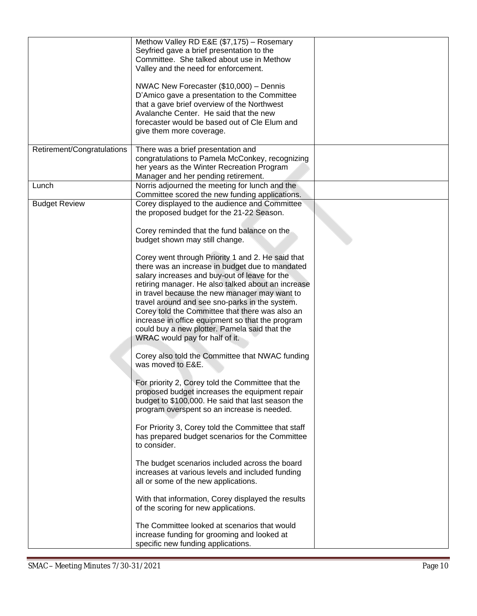|                            | Methow Valley RD E&E (\$7,175) - Rosemary<br>Seyfried gave a brief presentation to the<br>Committee. She talked about use in Methow<br>Valley and the need for enforcement.<br>NWAC New Forecaster (\$10,000) - Dennis<br>D'Amico gave a presentation to the Committee<br>that a gave brief overview of the Northwest<br>Avalanche Center. He said that the new<br>forecaster would be based out of Cle Elum and<br>give them more coverage.                                                             |  |
|----------------------------|----------------------------------------------------------------------------------------------------------------------------------------------------------------------------------------------------------------------------------------------------------------------------------------------------------------------------------------------------------------------------------------------------------------------------------------------------------------------------------------------------------|--|
| Retirement/Congratulations | There was a brief presentation and<br>congratulations to Pamela McConkey, recognizing<br>her years as the Winter Recreation Program<br>Manager and her pending retirement.                                                                                                                                                                                                                                                                                                                               |  |
| Lunch                      | Norris adjourned the meeting for lunch and the<br>Committee scored the new funding applications.                                                                                                                                                                                                                                                                                                                                                                                                         |  |
| <b>Budget Review</b>       | Corey displayed to the audience and Committee<br>the proposed budget for the 21-22 Season.<br>Corey reminded that the fund balance on the<br>budget shown may still change.                                                                                                                                                                                                                                                                                                                              |  |
|                            | Corey went through Priority 1 and 2. He said that<br>there was an increase in budget due to mandated<br>salary increases and buy-out of leave for the<br>retiring manager. He also talked about an increase<br>in travel because the new manager may want to<br>travel around and see sno-parks in the system.<br>Corey told the Committee that there was also an<br>increase in office equipment so that the program<br>could buy a new plotter. Pamela said that the<br>WRAC would pay for half of it. |  |
|                            | Corey also told the Committee that NWAC funding<br>was moved to E&E.<br>For priority 2, Corey told the Committee that the<br>proposed budget increases the equipment repair<br>budget to \$100,000. He said that last season the<br>program overspent so an increase is needed.<br>For Priority 3, Corey told the Committee that staff                                                                                                                                                                   |  |
|                            | has prepared budget scenarios for the Committee<br>to consider.<br>The budget scenarios included across the board<br>increases at various levels and included funding<br>all or some of the new applications.<br>With that information, Corey displayed the results<br>of the scoring for new applications.                                                                                                                                                                                              |  |
|                            | The Committee looked at scenarios that would<br>increase funding for grooming and looked at<br>specific new funding applications.                                                                                                                                                                                                                                                                                                                                                                        |  |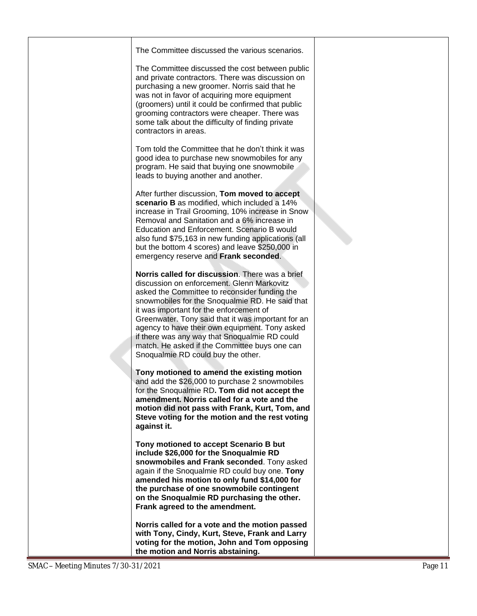| The Committee discussed the various scenarios.<br>The Committee discussed the cost between public<br>and private contractors. There was discussion on<br>purchasing a new groomer. Norris said that he<br>was not in favor of acquiring more equipment<br>(groomers) until it could be confirmed that public<br>grooming contractors were cheaper. There was<br>some talk about the difficulty of finding private<br>contractors in areas.                                                   |  |
|----------------------------------------------------------------------------------------------------------------------------------------------------------------------------------------------------------------------------------------------------------------------------------------------------------------------------------------------------------------------------------------------------------------------------------------------------------------------------------------------|--|
| Tom told the Committee that he don't think it was<br>good idea to purchase new snowmobiles for any<br>program. He said that buying one snowmobile<br>leads to buying another and another.                                                                                                                                                                                                                                                                                                    |  |
| After further discussion, Tom moved to accept<br>scenario B as modified, which included a 14%<br>increase in Trail Grooming, 10% increase in Snow<br>Removal and Sanitation and a 6% increase in<br>Education and Enforcement. Scenario B would<br>also fund \$75,163 in new funding applications (all<br>but the bottom 4 scores) and leave \$250,000 in<br>emergency reserve and Frank seconded.                                                                                           |  |
| Norris called for discussion. There was a brief<br>discussion on enforcement. Glenn Markovitz<br>asked the Committee to reconsider funding the<br>snowmobiles for the Snoqualmie RD. He said that<br>it was important for the enforcement of<br>Greenwater. Tony said that it was important for an<br>agency to have their own equipment. Tony asked<br>if there was any way that Snoqualmie RD could<br>match. He asked if the Committee buys one can<br>Snoqualmie RD could buy the other. |  |
| Tony motioned to amend the existing motion<br>and add the \$26,000 to purchase 2 snowmobiles<br>for the Snoqualmie RD. Tom did not accept the<br>amendment. Norris called for a vote and the<br>motion did not pass with Frank, Kurt, Tom, and<br>Steve voting for the motion and the rest voting<br>against it.                                                                                                                                                                             |  |
| Tony motioned to accept Scenario B but<br>include \$26,000 for the Snoqualmie RD<br>snowmobiles and Frank seconded. Tony asked<br>again if the Snoqualmie RD could buy one. Tony<br>amended his motion to only fund \$14,000 for<br>the purchase of one snowmobile contingent<br>on the Snoqualmie RD purchasing the other.<br>Frank agreed to the amendment.                                                                                                                                |  |
| Norris called for a vote and the motion passed<br>with Tony, Cindy, Kurt, Steve, Frank and Larry<br>voting for the motion, John and Tom opposing<br>the motion and Norris abstaining.                                                                                                                                                                                                                                                                                                        |  |